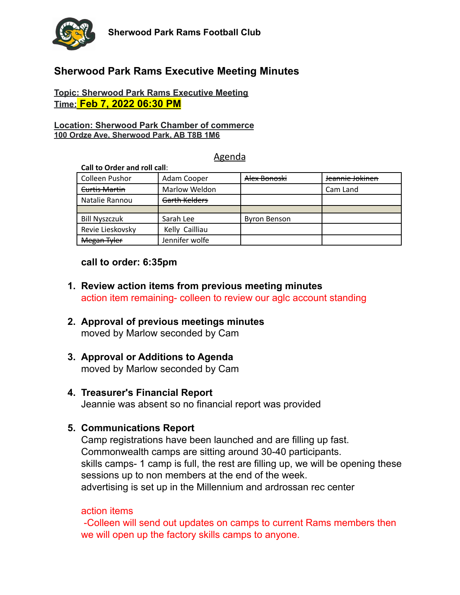

# **Sherwood Park Rams Executive Meeting Minutes**

#### **Topic: Sherwood Park Rams Executive Meeting Time: Feb 7, 2022 06:30 PM**

#### **Location: Sherwood Park Chamber of commerce 100 Ordze Ave, Sherwood Park, AB T8B 1M6**

#### Agenda

| Call to Order and roll call: |                |                     |                 |
|------------------------------|----------------|---------------------|-----------------|
| <b>Colleen Pushor</b>        | Adam Cooper    | Alex Bonoski        | Jeannie Jokinen |
| Curtis Martin                | Marlow Weldon  |                     | Cam Land        |
| Natalie Rannou               | Garth Kelders  |                     |                 |
|                              |                |                     |                 |
| <b>Bill Nyszczuk</b>         | Sarah Lee      | <b>Byron Benson</b> |                 |
| Revie Lieskovsky             | Kelly Cailliau |                     |                 |
| Megan Tyler                  | Jennifer wolfe |                     |                 |

## **call to order: 6:35pm**

- **1. Review action items from previous meeting minutes** action item remaining- colleen to review our aglc account standing
- **2. Approval of previous meetings minutes** moved by Marlow seconded by Cam

# **3. Approval or Additions to Agenda**

moved by Marlow seconded by Cam

# **4. Treasurer's Financial Report**

Jeannie was absent so no financial report was provided

# **5. Communications Report**

Camp registrations have been launched and are filling up fast. Commonwealth camps are sitting around 30-40 participants. skills camps- 1 camp is full, the rest are filling up, we will be opening these sessions up to non members at the end of the week. advertising is set up in the Millennium and ardrossan rec center

#### action items

-Colleen will send out updates on camps to current Rams members then we will open up the factory skills camps to anyone.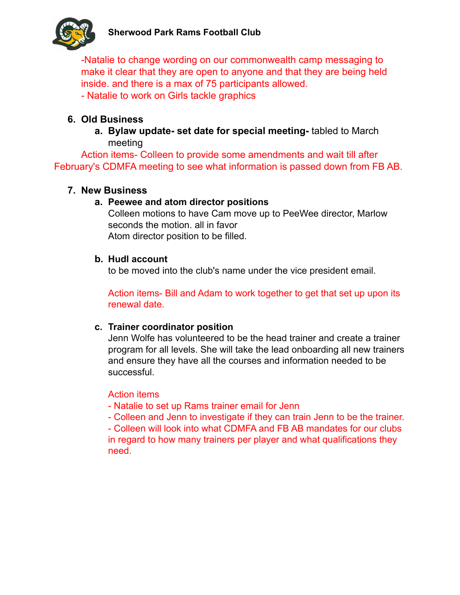

-Natalie to change wording on our commonwealth camp messaging to make it clear that they are open to anyone and that they are being held inside. and there is a max of 75 participants allowed. - Natalie to work on Girls tackle graphics

# **6. Old Business**

**a. Bylaw update- set date for special meeting-** tabled to March meeting

Action items- Colleen to provide some amendments and wait till after February's CDMFA meeting to see what information is passed down from FB AB.

# **7. New Business**

# **a. Peewee and atom director positions**

Colleen motions to have Cam move up to PeeWee director, Marlow seconds the motion. all in favor Atom director position to be filled.

## **b. Hudl account**

to be moved into the club's name under the vice president email.

Action items- Bill and Adam to work together to get that set up upon its renewal date.

# **c. Trainer coordinator position**

Jenn Wolfe has volunteered to be the head trainer and create a trainer program for all levels. She will take the lead onboarding all new trainers and ensure they have all the courses and information needed to be successful.

# Action items

- Natalie to set up Rams trainer email for Jenn

- Colleen and Jenn to investigate if they can train Jenn to be the trainer.

- Colleen will look into what CDMFA and FB AB mandates for our clubs in regard to how many trainers per player and what qualifications they need.